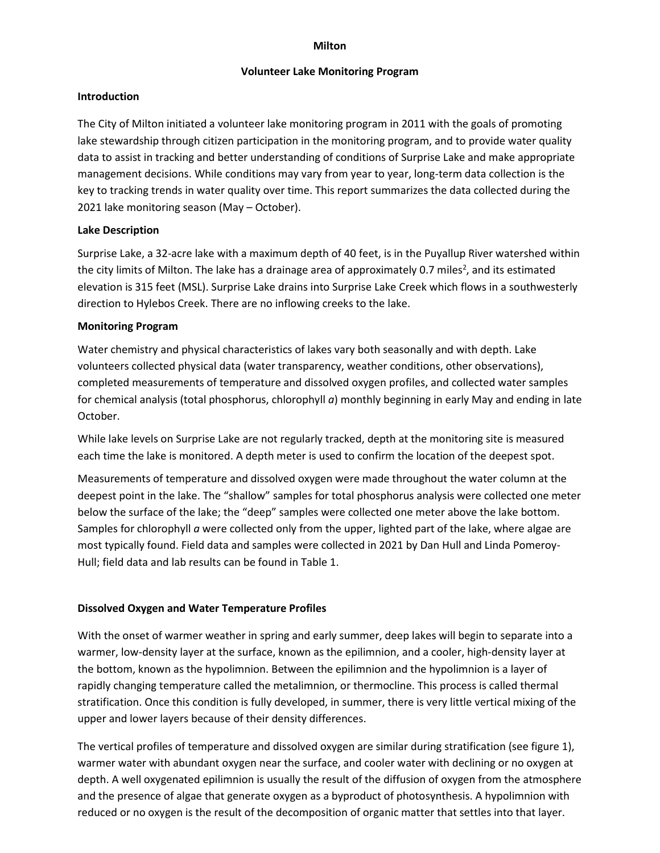#### **Milton**

#### **Volunteer Lake Monitoring Program**

#### **Introduction**

The City of Milton initiated a volunteer lake monitoring program in 2011 with the goals of promoting lake stewardship through citizen participation in the monitoring program, and to provide water quality data to assist in tracking and better understanding of conditions of Surprise Lake and make appropriate management decisions. While conditions may vary from year to year, long-term data collection is the key to tracking trends in water quality over time. This report summarizes the data collected during the 2021 lake monitoring season (May – October).

## **Lake Description**

Surprise Lake, a 32-acre lake with a maximum depth of 40 feet, is in the Puyallup River watershed within the city limits of Milton. The lake has a drainage area of approximately 0.7 miles<sup>2</sup>, and its estimated elevation is 315 feet (MSL). Surprise Lake drains into Surprise Lake Creek which flows in a southwesterly direction to Hylebos Creek. There are no inflowing creeks to the lake.

#### **Monitoring Program**

Water chemistry and physical characteristics of lakes vary both seasonally and with depth. Lake volunteers collected physical data (water transparency, weather conditions, other observations), completed measurements of temperature and dissolved oxygen profiles, and collected water samples for chemical analysis (total phosphorus, chlorophyll *a*) monthly beginning in early May and ending in late October.

While lake levels on Surprise Lake are not regularly tracked, depth at the monitoring site is measured each time the lake is monitored. A depth meter is used to confirm the location of the deepest spot.

Measurements of temperature and dissolved oxygen were made throughout the water column at the deepest point in the lake. The "shallow" samples for total phosphorus analysis were collected one meter below the surface of the lake; the "deep" samples were collected one meter above the lake bottom. Samples for chlorophyll *a* were collected only from the upper, lighted part of the lake, where algae are most typically found. Field data and samples were collected in 2021 by Dan Hull and Linda Pomeroy-Hull; field data and lab results can be found in Table 1.

## **Dissolved Oxygen and Water Temperature Profiles**

With the onset of warmer weather in spring and early summer, deep lakes will begin to separate into a warmer, low-density layer at the surface, known as the epilimnion, and a cooler, high-density layer at the bottom, known as the hypolimnion. Between the epilimnion and the hypolimnion is a layer of rapidly changing temperature called the metalimnion, or thermocline. This process is called thermal stratification. Once this condition is fully developed, in summer, there is very little vertical mixing of the upper and lower layers because of their density differences.

The vertical profiles of temperature and dissolved oxygen are similar during stratification (see figure 1), warmer water with abundant oxygen near the surface, and cooler water with declining or no oxygen at depth. A well oxygenated epilimnion is usually the result of the diffusion of oxygen from the atmosphere and the presence of algae that generate oxygen as a byproduct of photosynthesis. A hypolimnion with reduced or no oxygen is the result of the decomposition of organic matter that settles into that layer.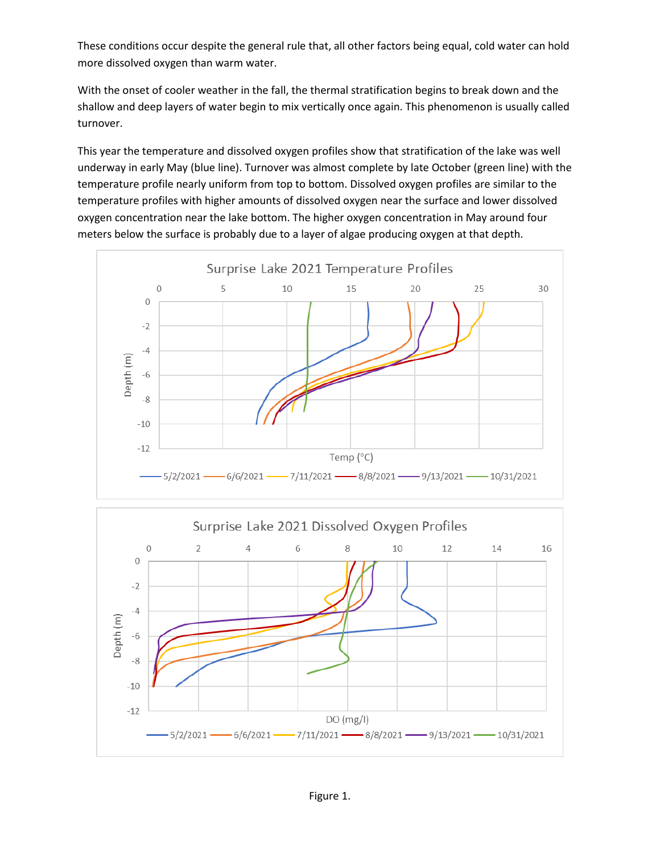These conditions occur despite the general rule that, all other factors being equal, cold water can hold more dissolved oxygen than warm water.

With the onset of cooler weather in the fall, the thermal stratification begins to break down and the shallow and deep layers of water begin to mix vertically once again. This phenomenon is usually called turnover.

This year the temperature and dissolved oxygen profiles show that stratification of the lake was well underway in early May (blue line). Turnover was almost complete by late October (green line) with the temperature profile nearly uniform from top to bottom. Dissolved oxygen profiles are similar to the temperature profiles with higher amounts of dissolved oxygen near the surface and lower dissolved oxygen concentration near the lake bottom. The higher oxygen concentration in May around four meters below the surface is probably due to a layer of algae producing oxygen at that depth.



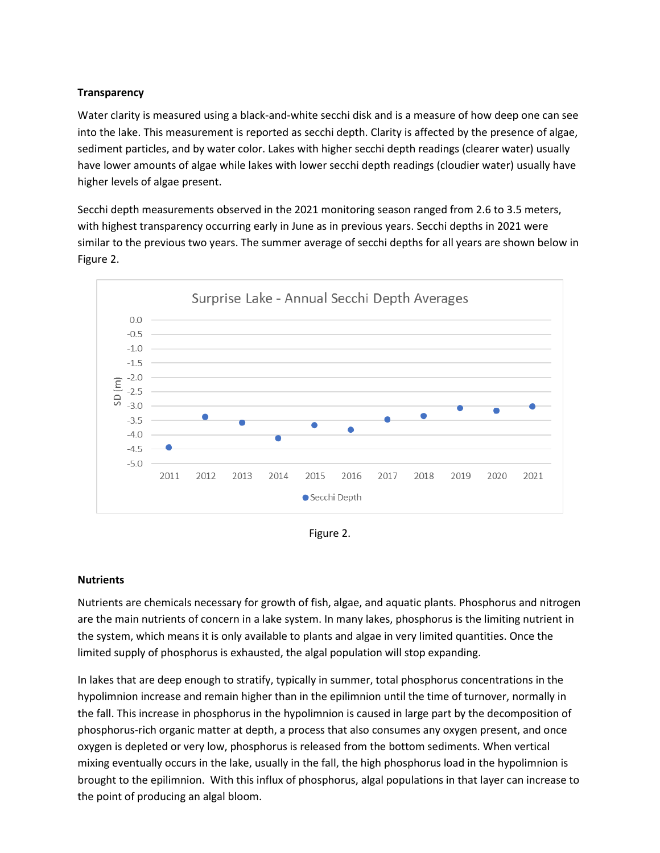# **Transparency**

Water clarity is measured using a black-and-white secchi disk and is a measure of how deep one can see into the lake. This measurement is reported as secchi depth. Clarity is affected by the presence of algae, sediment particles, and by water color. Lakes with higher secchi depth readings (clearer water) usually have lower amounts of algae while lakes with lower secchi depth readings (cloudier water) usually have higher levels of algae present.

Secchi depth measurements observed in the 2021 monitoring season ranged from 2.6 to 3.5 meters, with highest transparency occurring early in June as in previous years. Secchi depths in 2021 were similar to the previous two years. The summer average of secchi depths for all years are shown below in Figure 2.



Figure 2.

## **Nutrients**

Nutrients are chemicals necessary for growth of fish, algae, and aquatic plants. Phosphorus and nitrogen are the main nutrients of concern in a lake system. In many lakes, phosphorus is the limiting nutrient in the system, which means it is only available to plants and algae in very limited quantities. Once the limited supply of phosphorus is exhausted, the algal population will stop expanding.

In lakes that are deep enough to stratify, typically in summer, total phosphorus concentrations in the hypolimnion increase and remain higher than in the epilimnion until the time of turnover, normally in the fall. This increase in phosphorus in the hypolimnion is caused in large part by the decomposition of phosphorus-rich organic matter at depth, a process that also consumes any oxygen present, and once oxygen is depleted or very low, phosphorus is released from the bottom sediments. When vertical mixing eventually occurs in the lake, usually in the fall, the high phosphorus load in the hypolimnion is brought to the epilimnion. With this influx of phosphorus, algal populations in that layer can increase to the point of producing an algal bloom.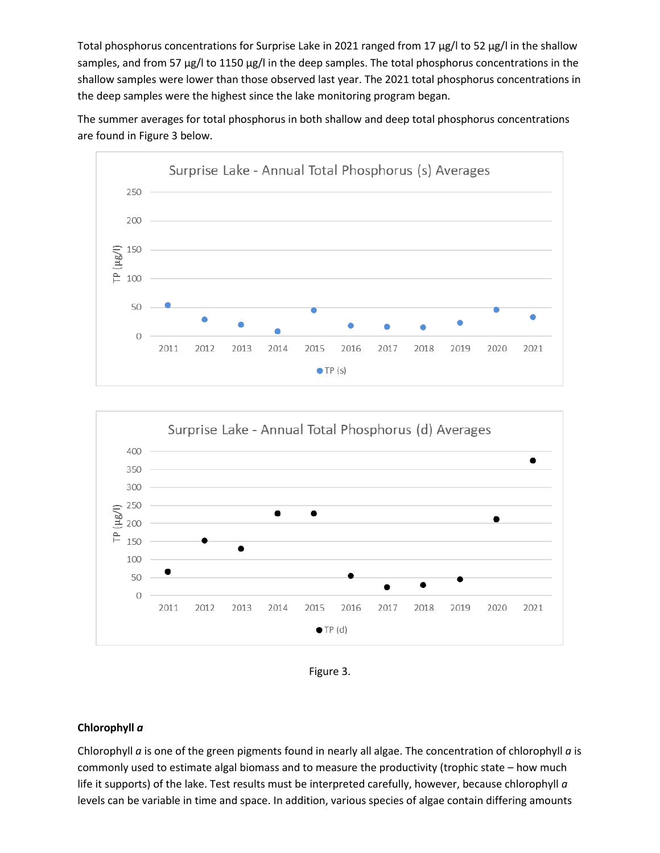Total phosphorus concentrations for Surprise Lake in 2021 ranged from 17 µg/l to 52 µg/l in the shallow samples, and from 57 µg/l to 1150 µg/l in the deep samples. The total phosphorus concentrations in the shallow samples were lower than those observed last year. The 2021 total phosphorus concentrations in the deep samples were the highest since the lake monitoring program began.

The summer averages for total phosphorus in both shallow and deep total phosphorus concentrations are found in Figure 3 below.





Figure 3.

## **Chlorophyll** *a*

Chlorophyll *a* is one of the green pigments found in nearly all algae. The concentration of chlorophyll *a* is commonly used to estimate algal biomass and to measure the productivity (trophic state – how much life it supports) of the lake. Test results must be interpreted carefully, however, because chlorophyll *a* levels can be variable in time and space. In addition, various species of algae contain differing amounts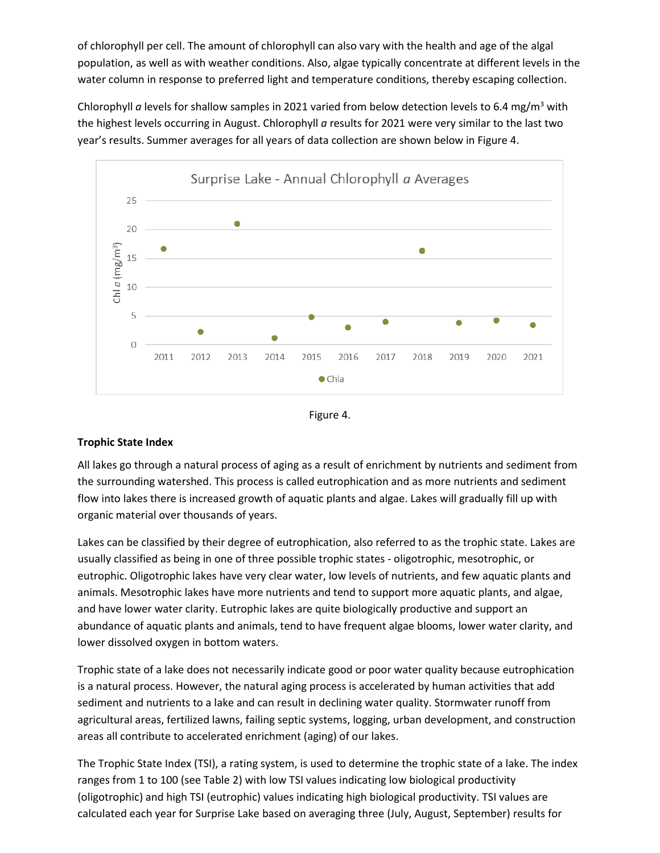of chlorophyll per cell. The amount of chlorophyll can also vary with the health and age of the algal population, as well as with weather conditions. Also, algae typically concentrate at different levels in the water column in response to preferred light and temperature conditions, thereby escaping collection.

Chlorophyll *a* levels for shallow samples in 2021 varied from below detection levels to 6.4 mg/m<sup>3</sup> with the highest levels occurring in August. Chlorophyll *a* results for 2021 were very similar to the last two year's results. Summer averages for all years of data collection are shown below in Figure 4.





# **Trophic State Index**

All lakes go through a natural process of aging as a result of enrichment by nutrients and sediment from the surrounding watershed. This process is called eutrophication and as more nutrients and sediment flow into lakes there is increased growth of aquatic plants and algae. Lakes will gradually fill up with organic material over thousands of years.

Lakes can be classified by their degree of eutrophication, also referred to as the trophic state. Lakes are usually classified as being in one of three possible trophic states - oligotrophic, mesotrophic, or eutrophic. Oligotrophic lakes have very clear water, low levels of nutrients, and few aquatic plants and animals. Mesotrophic lakes have more nutrients and tend to support more aquatic plants, and algae, and have lower water clarity. Eutrophic lakes are quite biologically productive and support an abundance of aquatic plants and animals, tend to have frequent algae blooms, lower water clarity, and lower dissolved oxygen in bottom waters.

Trophic state of a lake does not necessarily indicate good or poor water quality because eutrophication is a natural process. However, the natural aging process is accelerated by human activities that add sediment and nutrients to a lake and can result in declining water quality. Stormwater runoff from agricultural areas, fertilized lawns, failing septic systems, logging, urban development, and construction areas all contribute to accelerated enrichment (aging) of our lakes.

The Trophic State Index (TSI), a rating system, is used to determine the trophic state of a lake. The index ranges from 1 to 100 (see Table 2) with low TSI values indicating low biological productivity (oligotrophic) and high TSI (eutrophic) values indicating high biological productivity. TSI values are calculated each year for Surprise Lake based on averaging three (July, August, September) results for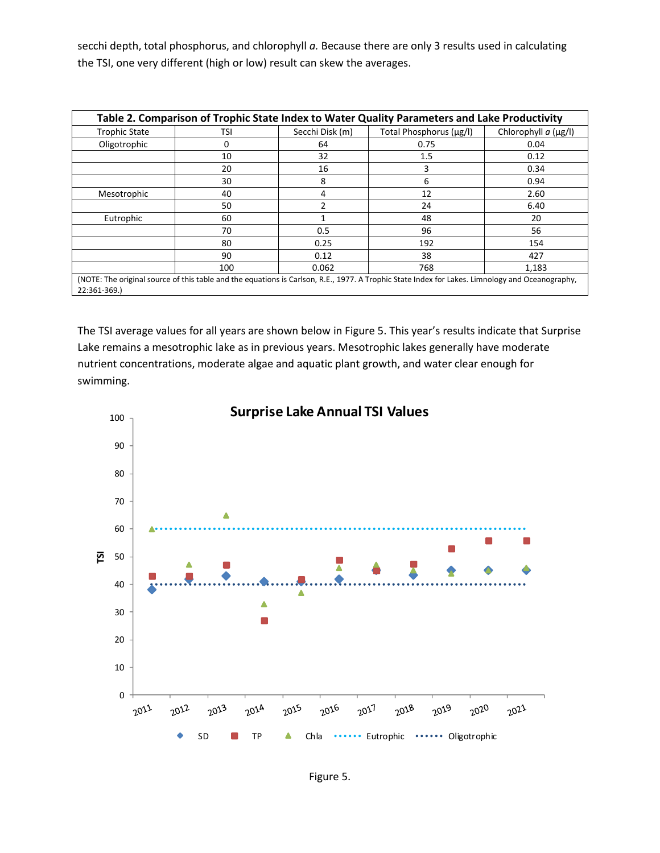secchi depth, total phosphorus, and chlorophyll *a.* Because there are only 3 results used in calculating the TSI, one very different (high or low) result can skew the averages.

| Table 2. Comparison of Trophic State Index to Water Quality Parameters and Lake Productivity |     |                 |                                                                                                                                                 |                              |  |  |  |  |  |
|----------------------------------------------------------------------------------------------|-----|-----------------|-------------------------------------------------------------------------------------------------------------------------------------------------|------------------------------|--|--|--|--|--|
| <b>Trophic State</b>                                                                         | TSI | Secchi Disk (m) | Total Phosphorus (µg/l)                                                                                                                         | Chlorophyll $a$ ( $\mu$ g/l) |  |  |  |  |  |
| Oligotrophic                                                                                 | 0   | 64              | 0.75                                                                                                                                            | 0.04                         |  |  |  |  |  |
|                                                                                              | 10  | 32              | 1.5                                                                                                                                             | 0.12                         |  |  |  |  |  |
|                                                                                              | 20  | 16              | 3                                                                                                                                               | 0.34                         |  |  |  |  |  |
|                                                                                              | 30  | 8               | 6                                                                                                                                               | 0.94                         |  |  |  |  |  |
| Mesotrophic                                                                                  | 40  | 4               | 12                                                                                                                                              | 2.60                         |  |  |  |  |  |
|                                                                                              | 50  | $\overline{2}$  | 24                                                                                                                                              | 6.40                         |  |  |  |  |  |
| Eutrophic                                                                                    | 60  |                 | 48                                                                                                                                              | 20                           |  |  |  |  |  |
|                                                                                              | 70  | 0.5             | 96                                                                                                                                              | 56                           |  |  |  |  |  |
|                                                                                              | 80  | 0.25            | 192                                                                                                                                             | 154                          |  |  |  |  |  |
|                                                                                              | 90  | 0.12            | 38                                                                                                                                              | 427                          |  |  |  |  |  |
|                                                                                              | 100 | 0.062           | 768                                                                                                                                             | 1,183                        |  |  |  |  |  |
| 22:361-369.)                                                                                 |     |                 | (NOTE: The original source of this table and the equations is Carlson, R.E., 1977. A Trophic State Index for Lakes. Limnology and Oceanography, |                              |  |  |  |  |  |

The TSI average values for all years are shown below in Figure 5. This year's results indicate that Surprise Lake remains a mesotrophic lake as in previous years. Mesotrophic lakes generally have moderate nutrient concentrations, moderate algae and aquatic plant growth, and water clear enough for swimming.

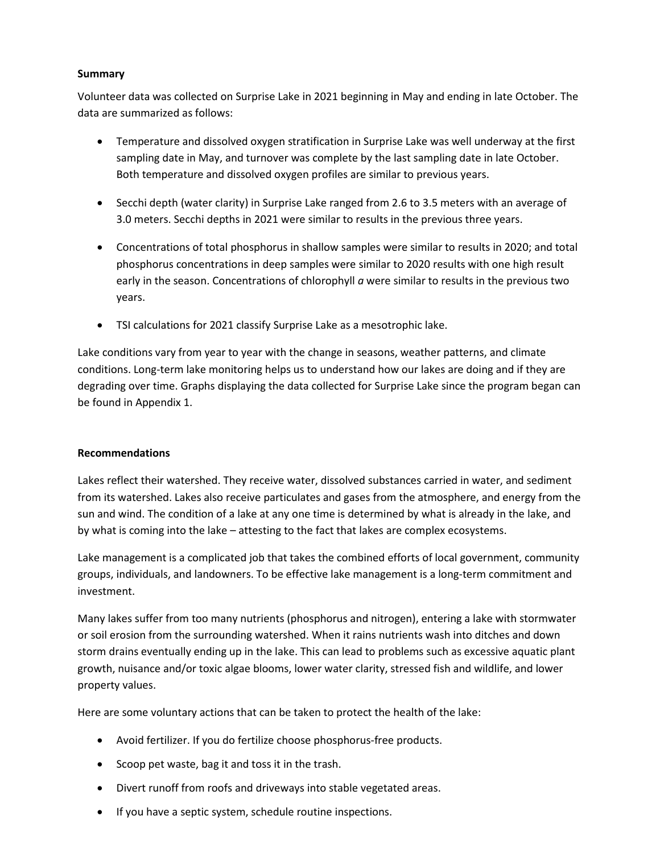# **Summary**

Volunteer data was collected on Surprise Lake in 2021 beginning in May and ending in late October. The data are summarized as follows:

- Temperature and dissolved oxygen stratification in Surprise Lake was well underway at the first sampling date in May, and turnover was complete by the last sampling date in late October. Both temperature and dissolved oxygen profiles are similar to previous years.
- Secchi depth (water clarity) in Surprise Lake ranged from 2.6 to 3.5 meters with an average of 3.0 meters. Secchi depths in 2021 were similar to results in the previous three years.
- Concentrations of total phosphorus in shallow samples were similar to results in 2020; and total phosphorus concentrations in deep samples were similar to 2020 results with one high result early in the season. Concentrations of chlorophyll *a* were similar to results in the previous two years.
- TSI calculations for 2021 classify Surprise Lake as a mesotrophic lake.

Lake conditions vary from year to year with the change in seasons, weather patterns, and climate conditions. Long-term lake monitoring helps us to understand how our lakes are doing and if they are degrading over time. Graphs displaying the data collected for Surprise Lake since the program began can be found in Appendix 1.

# **Recommendations**

Lakes reflect their watershed. They receive water, dissolved substances carried in water, and sediment from its watershed. Lakes also receive particulates and gases from the atmosphere, and energy from the sun and wind. The condition of a lake at any one time is determined by what is already in the lake, and by what is coming into the lake – attesting to the fact that lakes are complex ecosystems.

Lake management is a complicated job that takes the combined efforts of local government, community groups, individuals, and landowners. To be effective lake management is a long-term commitment and investment.

Many lakes suffer from too many nutrients (phosphorus and nitrogen), entering a lake with stormwater or soil erosion from the surrounding watershed. When it rains nutrients wash into ditches and down storm drains eventually ending up in the lake. This can lead to problems such as excessive aquatic plant growth, nuisance and/or toxic algae blooms, lower water clarity, stressed fish and wildlife, and lower property values.

Here are some voluntary actions that can be taken to protect the health of the lake:

- Avoid fertilizer. If you do fertilize choose phosphorus-free products.
- Scoop pet waste, bag it and toss it in the trash.
- Divert runoff from roofs and driveways into stable vegetated areas.
- If you have a septic system, schedule routine inspections.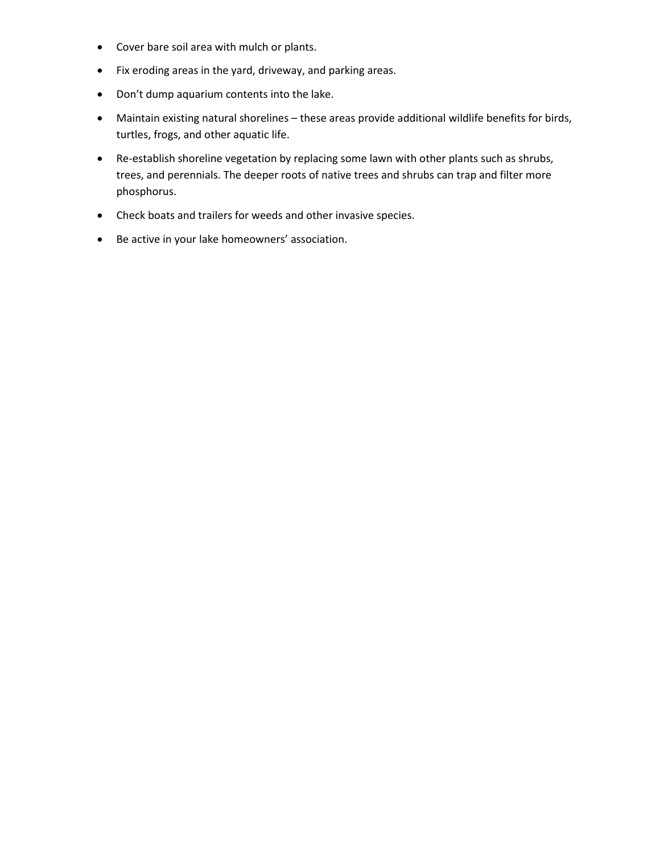- Cover bare soil area with mulch or plants.
- Fix eroding areas in the yard, driveway, and parking areas.
- Don't dump aquarium contents into the lake.
- Maintain existing natural shorelines these areas provide additional wildlife benefits for birds, turtles, frogs, and other aquatic life.
- Re-establish shoreline vegetation by replacing some lawn with other plants such as shrubs, trees, and perennials. The deeper roots of native trees and shrubs can trap and filter more phosphorus.
- Check boats and trailers for weeds and other invasive species.
- Be active in your lake homeowners' association.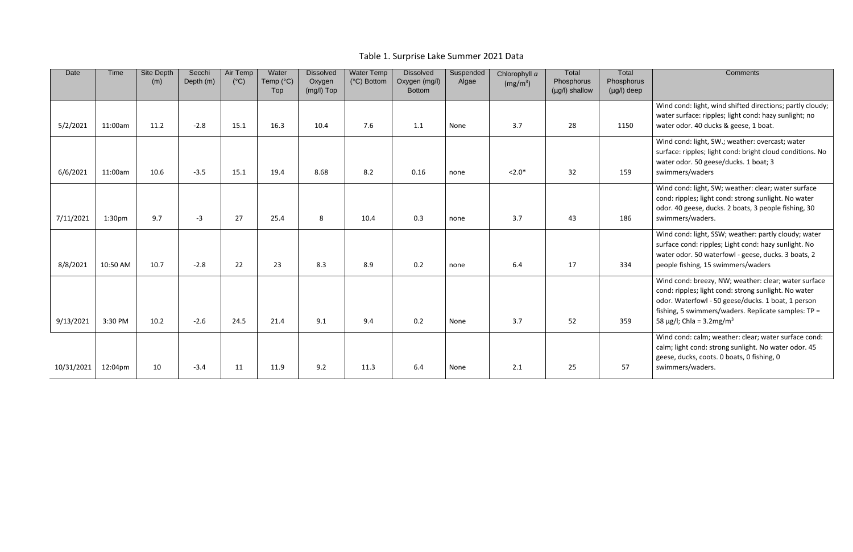Table 1. Surprise Lake Summer 2021 Data

| Date       | Time               | Site Depth<br>(m) | Secchi<br>Depth (m) | Air Temp<br>$(^{\circ}C)$ | Water<br>Temp (°C)<br>Top | <b>Dissolved</b><br>Oxygen<br>(mg/l) Top | <b>Water Temp</b><br>(°C) Bottom | <b>Dissolved</b><br>Oxygen (mg/l)<br><b>Bottom</b> | Suspended<br>Algae | Chlorophyll a<br>(mg/m <sup>3</sup> ) | Total<br>Phosphorus<br>(µg/l) shallow | Total<br>Phosphorus<br>$(\mu g/I)$ deep | <b>Comments</b>                                                                                                                                                                                                                                                         |
|------------|--------------------|-------------------|---------------------|---------------------------|---------------------------|------------------------------------------|----------------------------------|----------------------------------------------------|--------------------|---------------------------------------|---------------------------------------|-----------------------------------------|-------------------------------------------------------------------------------------------------------------------------------------------------------------------------------------------------------------------------------------------------------------------------|
| 5/2/2021   | 11:00am            | 11.2              | $-2.8$              | 15.1                      | 16.3                      | 10.4                                     | 7.6                              | 1.1                                                | None               | 3.7                                   | 28                                    | 1150                                    | Wind cond: light, wind shifted directions; partly cloudy;<br>water surface: ripples; light cond: hazy sunlight; no<br>water odor. 40 ducks & geese, 1 boat.                                                                                                             |
| 6/6/2021   | 11:00am            | 10.6              | $-3.5$              | 15.1                      | 19.4                      | 8.68                                     | 8.2                              | 0.16                                               | none               | $< 2.0*$                              | 32                                    | 159                                     | Wind cond: light, SW.; weather: overcast; water<br>surface: ripples; light cond: bright cloud conditions. No<br>water odor. 50 geese/ducks. 1 boat; 3<br>swimmers/waders                                                                                                |
| 7/11/2021  | 1:30 <sub>pm</sub> | 9.7               | $-3$                | 27                        | 25.4                      | 8                                        | 10.4                             | 0.3                                                | none               | 3.7                                   | 43                                    | 186                                     | Wind cond: light, SW; weather: clear; water surface<br>cond: ripples; light cond: strong sunlight. No water<br>odor. 40 geese, ducks. 2 boats, 3 people fishing, 30<br>swimmers/waders.                                                                                 |
| 8/8/2021   | 10:50 AM           | 10.7              | $-2.8$              | 22                        | 23                        | 8.3                                      | 8.9                              | 0.2                                                | none               | 6.4                                   | 17                                    | 334                                     | Wind cond: light, SSW; weather: partly cloudy; water<br>surface cond: ripples; Light cond: hazy sunlight. No<br>water odor. 50 waterfowl - geese, ducks. 3 boats, 2<br>people fishing, 15 swimmers/waders                                                               |
| 9/13/2021  | 3:30 PM            | 10.2              | $-2.6$              | 24.5                      | 21.4                      | 9.1                                      | 9.4                              | 0.2                                                | None               | 3.7                                   | 52                                    | 359                                     | Wind cond: breezy, NW; weather: clear; water surface<br>cond: ripples; light cond: strong sunlight. No water<br>odor. Waterfowl - 50 geese/ducks. 1 boat, 1 person<br>fishing, 5 swimmers/waders. Replicate samples: TP =<br>58 $\mu$ g/l; Chla = 3.2 mg/m <sup>3</sup> |
| 10/31/2021 | 12:04pm            | 10                | $-3.4$              | 11                        | 11.9                      | 9.2                                      | 11.3                             | 6.4                                                | None               | 2.1                                   | 25                                    | 57                                      | Wind cond: calm; weather: clear; water surface cond:<br>calm; light cond: strong sunlight. No water odor. 45<br>geese, ducks, coots. 0 boats, 0 fishing, 0<br>swimmers/waders.                                                                                          |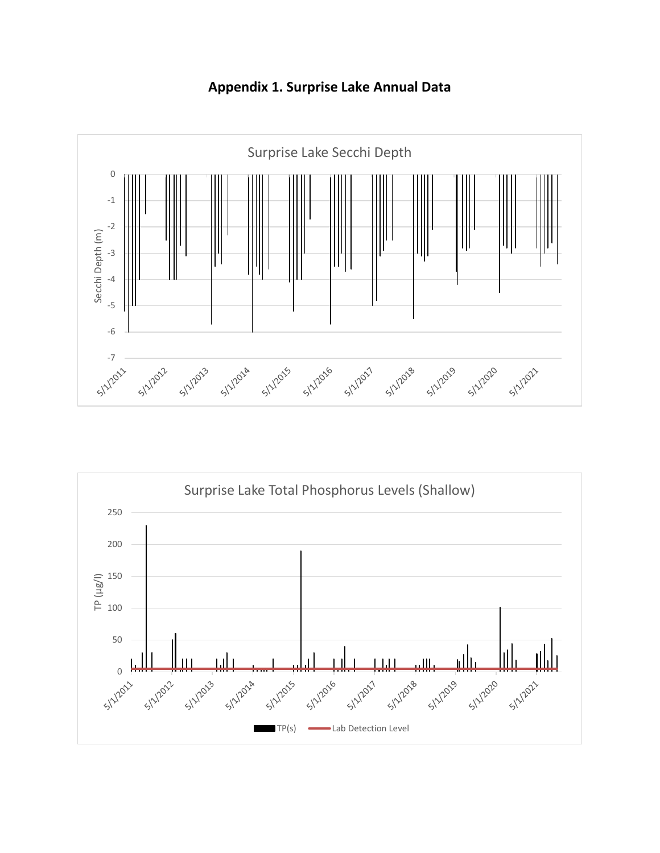